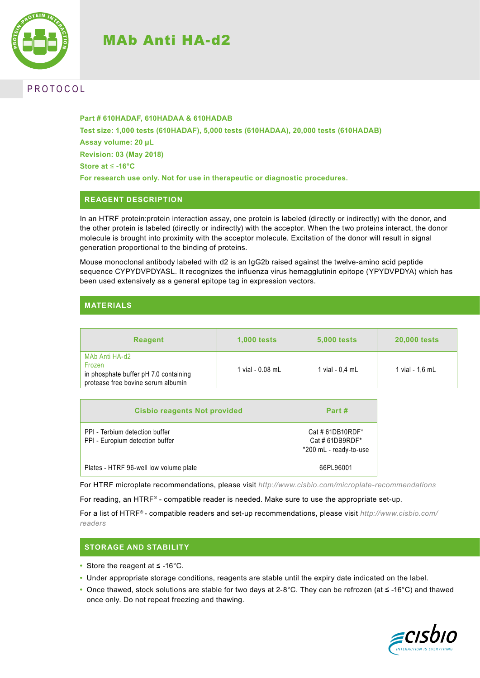# MAb Anti HA-d2



# **PROTOCOL**

**Part # 610HADAF, 610HADAA & 610HADAB Test size: 1,000 tests (610HADAF), 5,000 tests (610HADAA), 20,000 tests (610HADAB) Assay volume: 20 µL Revision: 03 (May 2018) Store at** ≤ **-16°C For research use only. Not for use in therapeutic or diagnostic procedures.**

## **REAGENT DESCRIPTION**

In an HTRF protein:protein interaction assay, one protein is labeled (directly or indirectly) with the donor, and the other protein is labeled (directly or indirectly) with the acceptor. When the two proteins interact, the donor molecule is brought into proximity with the acceptor molecule. Excitation of the donor will result in signal generation proportional to the binding of proteins.

Mouse monoclonal antibody labeled with d2 is an IgG2b raised against the twelve-amino acid peptide sequence CYPYDVPDYASL. It recognizes the influenza virus hemagglutinin epitope (YPYDVPDYA) which has been used extensively as a general epitope tag in expression vectors.

## **MATERIALS**

| <b>Reagent</b>                                                                                          | <b>1,000 tests</b> | <b>5,000 tests</b> | <b>20,000 tests</b> |
|---------------------------------------------------------------------------------------------------------|--------------------|--------------------|---------------------|
| MAb Anti HA-d2<br>Frozen<br>in phosphate buffer pH 7.0 containing<br>protease free bovine serum albumin | 1 vial - 0.08 mL   | 1 vial - $0.4$ mL  | 1 vial - 1.6 mL     |

| <b>Cisbio reagents Not provided</b>                               | Part #                                                      |
|-------------------------------------------------------------------|-------------------------------------------------------------|
| PPI - Terbium detection buffer<br>PPI - Europium detection buffer | Cat #61DB10RDF*<br>Cat #61DB9RDF*<br>*200 mL - ready-to-use |
| Plates - HTRF 96-well low volume plate                            | 66PL96001                                                   |

For HTRF microplate recommendations, please visit *http://www.cisbio.com/microplate-recommendations*

For reading, an HTRF® - compatible reader is needed. Make sure to use the appropriate set-up.

For a list of HTRF® - compatible readers and set-up recommendations, please visit *http://www.cisbio.com/ readers*

### **STORAGE AND STABILITY**

- **•** Store the reagent at ≤ -16°C.
- **•** Under appropriate storage conditions, reagents are stable until the expiry date indicated on the label.
- **•** Once thawed, stock solutions are stable for two days at 2-8°C. They can be refrozen (at ≤ -16°C) and thawed once only. Do not repeat freezing and thawing.